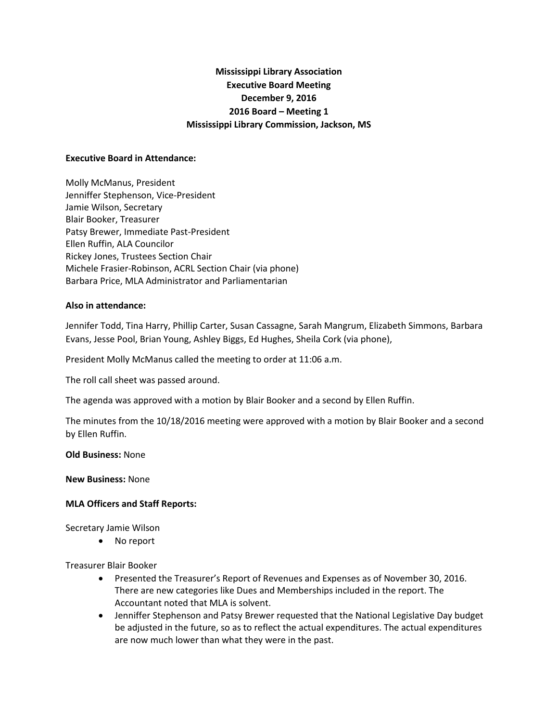# **Mississippi Library Association Executive Board Meeting December 9, 2016 2016 Board – Meeting 1 Mississippi Library Commission, Jackson, MS**

#### **Executive Board in Attendance:**

Molly McManus, President Jenniffer Stephenson, Vice-President Jamie Wilson, Secretary Blair Booker, Treasurer Patsy Brewer, Immediate Past-President Ellen Ruffin, ALA Councilor Rickey Jones, Trustees Section Chair Michele Frasier-Robinson, ACRL Section Chair (via phone) Barbara Price, MLA Administrator and Parliamentarian

#### **Also in attendance:**

Jennifer Todd, Tina Harry, Phillip Carter, Susan Cassagne, Sarah Mangrum, Elizabeth Simmons, Barbara Evans, Jesse Pool, Brian Young, Ashley Biggs, Ed Hughes, Sheila Cork (via phone),

President Molly McManus called the meeting to order at 11:06 a.m.

The roll call sheet was passed around.

The agenda was approved with a motion by Blair Booker and a second by Ellen Ruffin.

The minutes from the 10/18/2016 meeting were approved with a motion by Blair Booker and a second by Ellen Ruffin.

#### **Old Business:** None

**New Business:** None

#### **MLA Officers and Staff Reports:**

Secretary Jamie Wilson

No report

Treasurer Blair Booker

- Presented the Treasurer's Report of Revenues and Expenses as of November 30, 2016. There are new categories like Dues and Memberships included in the report. The Accountant noted that MLA is solvent.
- Jenniffer Stephenson and Patsy Brewer requested that the National Legislative Day budget be adjusted in the future, so as to reflect the actual expenditures. The actual expenditures are now much lower than what they were in the past.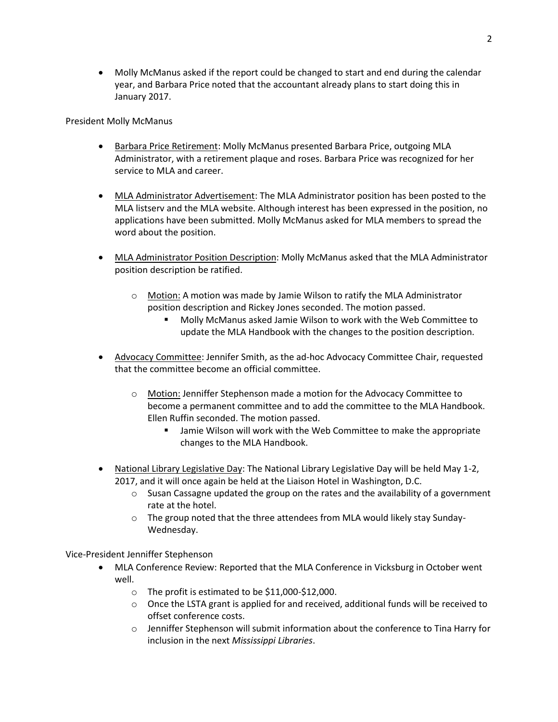Molly McManus asked if the report could be changed to start and end during the calendar year, and Barbara Price noted that the accountant already plans to start doing this in January 2017.

President Molly McManus

- Barbara Price Retirement: Molly McManus presented Barbara Price, outgoing MLA Administrator, with a retirement plaque and roses. Barbara Price was recognized for her service to MLA and career.
- MLA Administrator Advertisement: The MLA Administrator position has been posted to the MLA listserv and the MLA website. Although interest has been expressed in the position, no applications have been submitted. Molly McManus asked for MLA members to spread the word about the position.
- MLA Administrator Position Description: Molly McManus asked that the MLA Administrator position description be ratified.
	- $\circ$  Motion: A motion was made by Jamie Wilson to ratify the MLA Administrator position description and Rickey Jones seconded. The motion passed.
		- Molly McManus asked Jamie Wilson to work with the Web Committee to update the MLA Handbook with the changes to the position description.
- Advocacy Committee: Jennifer Smith, as the ad-hoc Advocacy Committee Chair, requested that the committee become an official committee.
	- o Motion: Jenniffer Stephenson made a motion for the Advocacy Committee to become a permanent committee and to add the committee to the MLA Handbook. Ellen Ruffin seconded. The motion passed.
		- Jamie Wilson will work with the Web Committee to make the appropriate changes to the MLA Handbook.
- National Library Legislative Day: The National Library Legislative Day will be held May 1-2, 2017, and it will once again be held at the Liaison Hotel in Washington, D.C.
	- $\circ$  Susan Cassagne updated the group on the rates and the availability of a government rate at the hotel.
	- $\circ$  The group noted that the three attendees from MLA would likely stay Sunday-Wednesday.

Vice-President Jenniffer Stephenson

- MLA Conference Review: Reported that the MLA Conference in Vicksburg in October went well.
	- o The profit is estimated to be \$11,000-\$12,000.
	- $\circ$  Once the LSTA grant is applied for and received, additional funds will be received to offset conference costs.
	- $\circ$  Jenniffer Stephenson will submit information about the conference to Tina Harry for inclusion in the next *Mississippi Libraries*.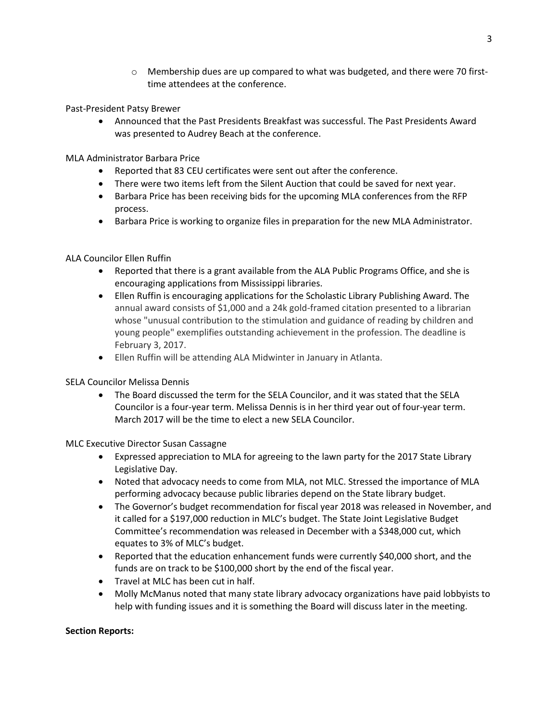o Membership dues are up compared to what was budgeted, and there were 70 firsttime attendees at the conference.

Past-President Patsy Brewer

 Announced that the Past Presidents Breakfast was successful. The Past Presidents Award was presented to Audrey Beach at the conference.

MLA Administrator Barbara Price

- Reported that 83 CEU certificates were sent out after the conference.
- There were two items left from the Silent Auction that could be saved for next year.
- Barbara Price has been receiving bids for the upcoming MLA conferences from the RFP process.
- Barbara Price is working to organize files in preparation for the new MLA Administrator.

## ALA Councilor Ellen Ruffin

- Reported that there is a grant available from the ALA Public Programs Office, and she is encouraging applications from Mississippi libraries.
- Ellen Ruffin is encouraging applications for the Scholastic Library Publishing Award. The annual award consists of \$1,000 and a 24k gold-framed citation presented to a librarian whose "unusual contribution to the stimulation and guidance of reading by children and young people" exemplifies outstanding achievement in the profession. The deadline is February 3, 2017.
- Ellen Ruffin will be attending ALA Midwinter in January in Atlanta.

## SELA Councilor Melissa Dennis

 The Board discussed the term for the SELA Councilor, and it was stated that the SELA Councilor is a four-year term. Melissa Dennis is in her third year out of four-year term. March 2017 will be the time to elect a new SELA Councilor.

MLC Executive Director Susan Cassagne

- Expressed appreciation to MLA for agreeing to the lawn party for the 2017 State Library Legislative Day.
- Noted that advocacy needs to come from MLA, not MLC. Stressed the importance of MLA performing advocacy because public libraries depend on the State library budget.
- The Governor's budget recommendation for fiscal year 2018 was released in November, and it called for a \$197,000 reduction in MLC's budget. The State Joint Legislative Budget Committee's recommendation was released in December with a \$348,000 cut, which equates to 3% of MLC's budget.
- Reported that the education enhancement funds were currently \$40,000 short, and the funds are on track to be \$100,000 short by the end of the fiscal year.
- Travel at MLC has been cut in half.
- Molly McManus noted that many state library advocacy organizations have paid lobbyists to help with funding issues and it is something the Board will discuss later in the meeting.

#### **Section Reports:**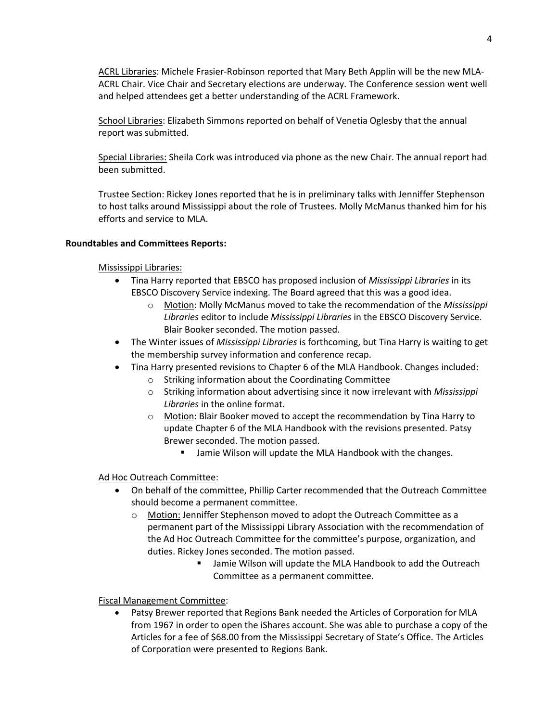ACRL Libraries: Michele Frasier-Robinson reported that Mary Beth Applin will be the new MLA-ACRL Chair. Vice Chair and Secretary elections are underway. The Conference session went well and helped attendees get a better understanding of the ACRL Framework.

School Libraries: Elizabeth Simmons reported on behalf of Venetia Oglesby that the annual report was submitted.

Special Libraries: Sheila Cork was introduced via phone as the new Chair. The annual report had been submitted.

Trustee Section: Rickey Jones reported that he is in preliminary talks with Jenniffer Stephenson to host talks around Mississippi about the role of Trustees. Molly McManus thanked him for his efforts and service to MLA.

## **Roundtables and Committees Reports:**

## Mississippi Libraries:

- Tina Harry reported that EBSCO has proposed inclusion of *Mississippi Libraries* in its EBSCO Discovery Service indexing. The Board agreed that this was a good idea.
	- o Motion: Molly McManus moved to take the recommendation of the *Mississippi Libraries* editor to include *Mississippi Libraries* in the EBSCO Discovery Service. Blair Booker seconded. The motion passed.
- The Winter issues of *Mississippi Libraries* is forthcoming, but Tina Harry is waiting to get the membership survey information and conference recap.
- Tina Harry presented revisions to Chapter 6 of the MLA Handbook. Changes included:
	- o Striking information about the Coordinating Committee
	- o Striking information about advertising since it now irrelevant with *Mississippi Libraries* in the online format.
	- o Motion: Blair Booker moved to accept the recommendation by Tina Harry to update Chapter 6 of the MLA Handbook with the revisions presented. Patsy Brewer seconded. The motion passed.
		- **Jamie Wilson will update the MLA Handbook with the changes.**

## Ad Hoc Outreach Committee:

- On behalf of the committee, Phillip Carter recommended that the Outreach Committee should become a permanent committee.
	- o Motion: Jenniffer Stephenson moved to adopt the Outreach Committee as a permanent part of the Mississippi Library Association with the recommendation of the Ad Hoc Outreach Committee for the committee's purpose, organization, and duties. Rickey Jones seconded. The motion passed.
		- Jamie Wilson will update the MLA Handbook to add the Outreach Committee as a permanent committee.

## Fiscal Management Committee:

 Patsy Brewer reported that Regions Bank needed the Articles of Corporation for MLA from 1967 in order to open the iShares account. She was able to purchase a copy of the Articles for a fee of \$68.00 from the Mississippi Secretary of State's Office. The Articles of Corporation were presented to Regions Bank.